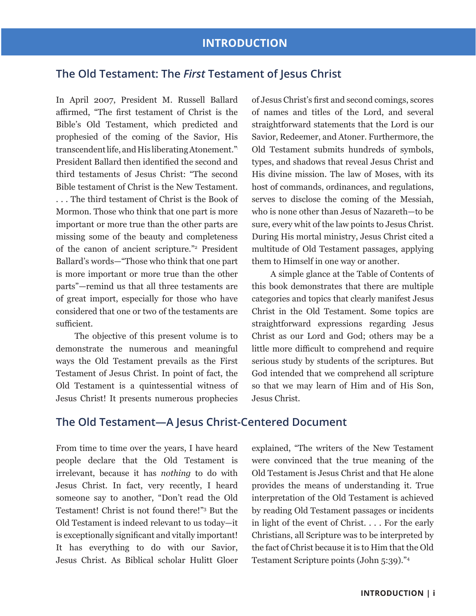# **The Old Testament: The** *First* **Testament of Jesus Christ**

In April 2007, President M. Russell Ballard affirmed, "The first testament of Christ is the Bible's Old Testament, which predicted and prophesied of the coming of the Savior, His transcendent life, and His liberating Atonement." President Ballard then identified the second and third testaments of Jesus Christ: "The second Bible testament of Christ is the New Testament. . . . The third testament of Christ is the Book of Mormon. Those who think that one part is more important or more true than the other parts are missing some of the beauty and completeness of the canon of ancient scripture."<sup>2</sup> President Ballard's words—"Those who think that one part is more important or more true than the other parts"—remind us that all three testaments are of great import, especially for those who have considered that one or two of the testaments are sufficient.

The objective of this present volume is to demonstrate the numerous and meaningful ways the Old Testament prevails as the First Testament of Jesus Christ. In point of fact, the Old Testament is a quintessential witness of Jesus Christ! It presents numerous prophecies

of Jesus Christ's first and second comings, scores of names and titles of the Lord, and several straightforward statements that the Lord is our Savior, Redeemer, and Atoner. Furthermore, the Old Testament submits hundreds of symbols, types, and shadows that reveal Jesus Christ and His divine mission. The law of Moses, with its host of commands, ordinances, and regulations, serves to disclose the coming of the Messiah, who is none other than Jesus of Nazareth—to be sure, every whit of the law points to Jesus Christ. During His mortal ministry, Jesus Christ cited a multitude of Old Testament passages, applying them to Himself in one way or another.

A simple glance at the Table of Contents of this book demonstrates that there are multiple categories and topics that clearly manifest Jesus Christ in the Old Testament. Some topics are straightforward expressions regarding Jesus Christ as our Lord and God; others may be a little more difficult to comprehend and require serious study by students of the scriptures. But God intended that we comprehend all scripture so that we may learn of Him and of His Son, Jesus Christ.

## **The Old Testament—A Jesus Christ-Centered Document**

From time to time over the years, I have heard people declare that the Old Testament is irrelevant, because it has *nothing* to do with Jesus Christ. In fact, very recently, I heard someone say to another, "Don't read the Old Testament! Christ is not found there!"<sup>3</sup> But the Old Testament is indeed relevant to us today—it is exceptionally significant and vitally important! It has everything to do with our Savior, Jesus Christ. As Biblical scholar Hulitt Gloer

explained, "The writers of the New Testament were convinced that the true meaning of the Old Testament is Jesus Christ and that He alone provides the means of understanding it. True interpretation of the Old Testament is achieved by reading Old Testament passages or incidents in light of the event of Christ. . . . For the early Christians, all Scripture was to be interpreted by the fact of Christ because it is to Him that the Old Testament Scripture points (John 5:39)."<sup>4</sup>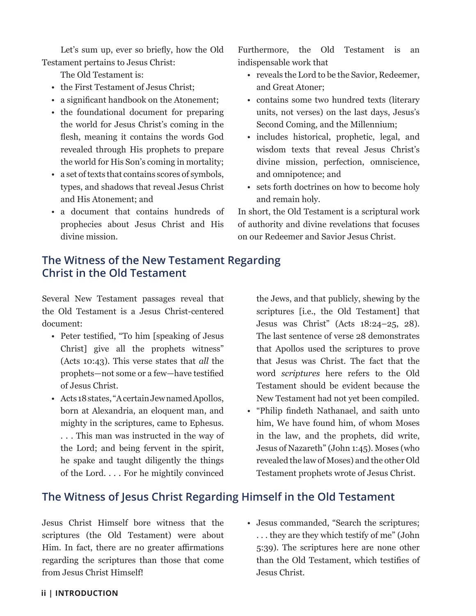Let's sum up, ever so briefly, how the Old Testament pertains to Jesus Christ:

The Old Testament is:

- the First Testament of Jesus Christ;
- a significant handbook on the Atonement;
- the foundational document for preparing the world for Jesus Christ's coming in the flesh, meaning it contains the words God revealed through His prophets to prepare the world for His Son's coming in mortality;
- a set of texts that contains scores of symbols, types, and shadows that reveal Jesus Christ and His Atonement; and
- a document that contains hundreds of prophecies about Jesus Christ and His divine mission.

Furthermore, the Old Testament is an indispensable work that

- reveals the Lord to be the Savior, Redeemer, and Great Atoner;
- contains some two hundred texts (literary units, not verses) on the last days, Jesus's Second Coming, and the Millennium;
- includes historical, prophetic, legal, and wisdom texts that reveal Jesus Christ's divine mission, perfection, omniscience, and omnipotence; and
- sets forth doctrines on how to become holy and remain holy.

In short, the Old Testament is a scriptural work of authority and divine revelations that focuses on our Redeemer and Savior Jesus Christ.

# **The Witness of the New Testament Regarding Christ in the Old Testament**

Several New Testament passages reveal that the Old Testament is a Jesus Christ-centered document:

- Peter testified, "To him [speaking of Jesus Christ] give all the prophets witness" (Acts 10:43). This verse states that *all* the prophets—not some or a few—have testified of Jesus Christ.
- Acts 18 states, "A certain Jew named Apollos, born at Alexandria, an eloquent man, and mighty in the scriptures, came to Ephesus. . . . This man was instructed in the way of the Lord; and being fervent in the spirit, he spake and taught diligently the things of the Lord. . . . For he mightily convinced

the Jews, and that publicly, shewing by the scriptures [i.e., the Old Testament] that Jesus was Christ" (Acts 18:24–25, 28). The last sentence of verse 28 demonstrates that Apollos used the scriptures to prove that Jesus was Christ. The fact that the word *scriptures* here refers to the Old Testament should be evident because the New Testament had not yet been compiled.

• "Philip findeth Nathanael, and saith unto him, We have found him, of whom Moses in the law, and the prophets, did write, Jesus of Nazareth" (John 1:45). Moses (who revealed the law of Moses) and the other Old Testament prophets wrote of Jesus Christ.

# **The Witness of Jesus Christ Regarding Himself in the Old Testament**

Jesus Christ Himself bore witness that the scriptures (the Old Testament) were about Him. In fact, there are no greater affirmations regarding the scriptures than those that come from Jesus Christ Himself!

• Jesus commanded, "Search the scriptures; . . . they are they which testify of me" (John 5:39). The scriptures here are none other than the Old Testament, which testifies of Jesus Christ.

### **ii | Introduction**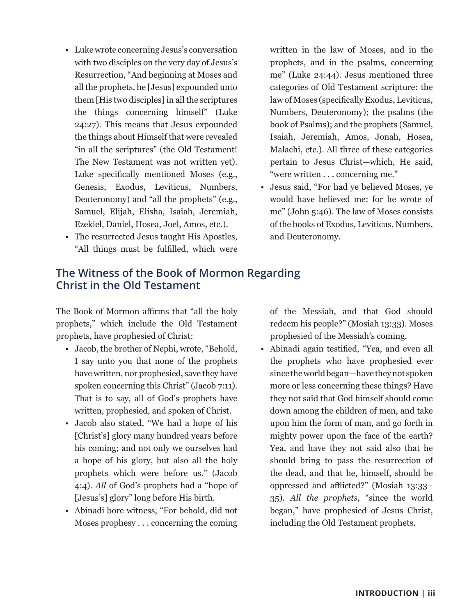- Luke wrote concerning Jesus's conversation with two disciples on the very day of Jesus's Resurrection, "And beginning at Moses and all the prophets, he [Jesus] expounded unto them [His two disciples] in all the scriptures the things concerning himself" (Luke 24:27). This means that Jesus expounded the things about Himself that were revealed "in all the scriptures" (the Old Testament! The New Testament was not written yet). Luke specifically mentioned Moses (e.g., Genesis, Exodus, Leviticus, Numbers, Deuteronomy) and "all the prophets" (e.g., Samuel, Elijah, Elisha, Isaiah, Jeremiah, Ezekiel, Daniel, Hosea, Joel, Amos, etc.).
- The resurrected Jesus taught His Apostles, "All things must be fulfilled, which were

written in the law of Moses, and in the prophets, and in the psalms, concerning me" (Luke 24:44). Jesus mentioned three categories of Old Testament scripture: the law of Moses (specifically Exodus, Leviticus, Numbers, Deuteronomy); the psalms (the book of Psalms); and the prophets (Samuel, Isaiah, Jeremiah, Amos, Jonah, Hosea, Malachi, etc.). All three of these categories pertain to Jesus Christ—which, He said, "were written . . . concerning me."

• Jesus said, "For had ye believed Moses, ye would have believed me: for he wrote of me" (John 5:46). The law of Moses consists of the books of Exodus, Leviticus, Numbers, and Deuteronomy.

# **The Witness of the Book of Mormon Regarding Christ in the Old Testament**

The Book of Mormon affirms that "all the holy prophets," which include the Old Testament prophets, have prophesied of Christ:

- Jacob, the brother of Nephi, wrote, "Behold, I say unto you that none of the prophets have written, nor prophesied, save they have spoken concerning this Christ" (Jacob 7:11). That is to say, all of God's prophets have written, prophesied, and spoken of Christ.
- Jacob also stated, "We had a hope of his [Christ's] glory many hundred years before his coming; and not only we ourselves had a hope of his glory, but also all the holy prophets which were before us." (Jacob 4:4). *All* of God's prophets had a "hope of [Jesus's] glory" long before His birth.
- Abinadi bore witness, "For behold, did not Moses prophesy . . . concerning the coming

of the Messiah, and that God should redeem his people?" (Mosiah 13:33). Moses prophesied of the Messiah's coming.

• Abinadi again testified, "Yea, and even all the prophets who have prophesied ever since the world began—have they not spoken more or less concerning these things? Have they not said that God himself should come down among the children of men, and take upon him the form of man, and go forth in mighty power upon the face of the earth? Yea, and have they not said also that he should bring to pass the resurrection of the dead, and that he, himself, should be oppressed and afflicted?" (Mosiah 13:33– 35). *All the prophets*, "since the world began," have prophesied of Jesus Christ, including the Old Testament prophets.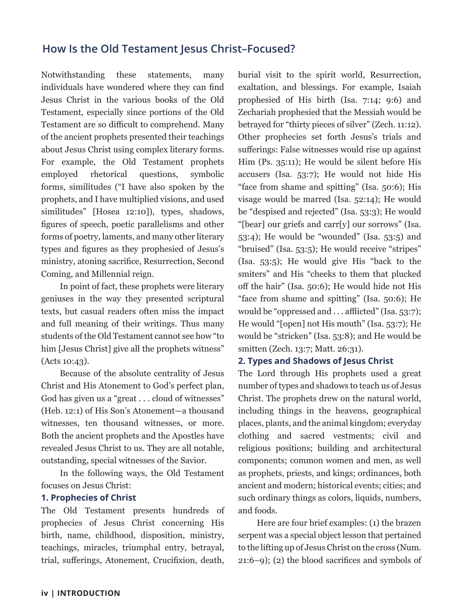# **How Is the Old Testament Jesus Christ–Focused?**

Notwithstanding these statements, many individuals have wondered where they can find Jesus Christ in the various books of the Old Testament, especially since portions of the Old Testament are so difficult to comprehend. Many of the ancient prophets presented their teachings about Jesus Christ using complex literary forms. For example, the Old Testament prophets employed rhetorical questions, symbolic forms, similitudes ("I have also spoken by the prophets, and I have multiplied visions, and used similitudes" [Hosea 12:10]), types, shadows, figures of speech, poetic parallelisms and other forms of poetry, laments, and many other literary types and figures as they prophesied of Jesus's ministry, atoning sacrifice, Resurrection, Second Coming, and Millennial reign.

In point of fact, these prophets were literary geniuses in the way they presented scriptural texts, but casual readers often miss the impact and full meaning of their writings. Thus many students of the Old Testament cannot see how "to him [Jesus Christ] give all the prophets witness" (Acts 10:43).

Because of the absolute centrality of Jesus Christ and His Atonement to God's perfect plan, God has given us a "great . . . cloud of witnesses" (Heb. 12:1) of His Son's Atonement—a thousand witnesses, ten thousand witnesses, or more. Both the ancient prophets and the Apostles have revealed Jesus Christ to us. They are all notable, outstanding, special witnesses of the Savior.

In the following ways, the Old Testament focuses on Jesus Christ:

### **1. Prophecies of Christ**

The Old Testament presents hundreds of prophecies of Jesus Christ concerning His birth, name, childhood, disposition, ministry, teachings, miracles, triumphal entry, betrayal, trial, sufferings, Atonement, Crucifixion, death,

burial visit to the spirit world, Resurrection, exaltation, and blessings. For example, Isaiah prophesied of His birth (Isa. 7:14; 9:6) and Zechariah prophesied that the Messiah would be betrayed for "thirty pieces of silver" (Zech. 11:12). Other prophecies set forth Jesus's trials and sufferings: False witnesses would rise up against Him (Ps. 35:11); He would be silent before His accusers (Isa. 53:7); He would not hide His "face from shame and spitting" (Isa. 50:6); His visage would be marred (Isa. 52:14); He would be "despised and rejected" (Isa. 53:3); He would "[bear] our griefs and carr[y] our sorrows" (Isa. 53:4); He would be "wounded" (Isa. 53:5) and "bruised" (Isa. 53:5); He would receive "stripes" (Isa. 53:5); He would give His "back to the smiters" and His "cheeks to them that plucked off the hair" (Isa. 50:6); He would hide not His "face from shame and spitting" (Isa. 50:6); He would be "oppressed and . . . afflicted" (Isa. 53:7); He would "[open] not His mouth" (Isa. 53:7); He would be "stricken" (Isa. 53:8); and He would be smitten (Zech. 13:7; Matt. 26:31).

## **2. Types and Shadows of Jesus Christ**

The Lord through His prophets used a great number of types and shadows to teach us of Jesus Christ. The prophets drew on the natural world, including things in the heavens, geographical places, plants, and the animal kingdom; everyday clothing and sacred vestments; civil and religious positions; building and architectural components; common women and men, as well as prophets, priests, and kings; ordinances, both ancient and modern; historical events; cities; and such ordinary things as colors, liquids, numbers, and foods.

Here are four brief examples: (1) the brazen serpent was a special object lesson that pertained to the lifting up of Jesus Christ on the cross (Num. 21:6–9); (2) the blood sacrifices and symbols of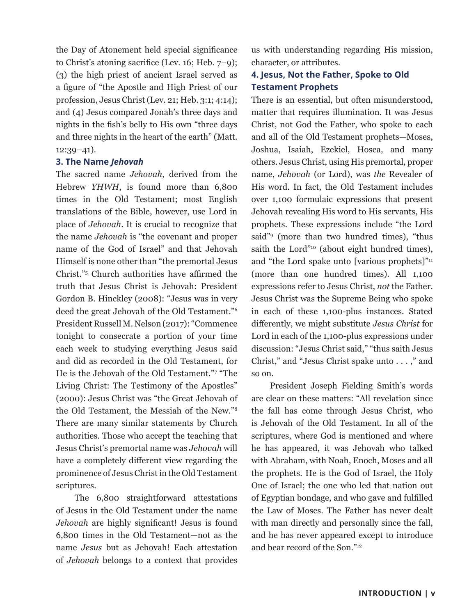the Day of Atonement held special significance to Christ's atoning sacrifice (Lev. 16; Heb. 7–9); (3) the high priest of ancient Israel served as a figure of "the Apostle and High Priest of our profession, Jesus Christ (Lev. 21; Heb. 3:1; 4:14); and (4) Jesus compared Jonah's three days and nights in the fish's belly to His own "three days and three nights in the heart of the earth" (Matt. 12:39–41).

### **3. The Name** *Jehovah*

The sacred name *Jehovah*, derived from the Hebrew *YHWH*, is found more than 6,800 times in the Old Testament; most English translations of the Bible, however, use Lord in place of *Jehovah*. It is crucial to recognize that the name *Jehovah* is "the covenant and proper name of the God of Israel" and that Jehovah Himself is none other than "the premortal Jesus Christ."5 Church authorities have affirmed the truth that Jesus Christ is Jehovah: President Gordon B. Hinckley (2008): "Jesus was in very deed the great Jehovah of the Old Testament."6 President Russell M. Nelson (2017): "Commence tonight to consecrate a portion of your time each week to studying everything Jesus said and did as recorded in the Old Testament, for He is the Jehovah of the Old Testament."<sup>7</sup> "The Living Christ: The Testimony of the Apostles" (2000): Jesus Christ was "the Great Jehovah of the Old Testament, the Messiah of the New."8 There are many similar statements by Church authorities. Those who accept the teaching that Jesus Christ's premortal name was *Jehovah* will have a completely different view regarding the prominence of Jesus Christ in the Old Testament scriptures.

The 6,800 straightforward attestations of Jesus in the Old Testament under the name *Jehovah* are highly significant! Jesus is found 6,800 times in the Old Testament—not as the name *Jesus* but as Jehovah! Each attestation of *Jehovah* belongs to a context that provides us with understanding regarding His mission, character, or attributes.

## **4. Jesus, Not the Father, Spoke to Old Testament Prophets**

There is an essential, but often misunderstood, matter that requires illumination. It was Jesus Christ, not God the Father, who spoke to each and all of the Old Testament prophets—Moses, Joshua, Isaiah, Ezekiel, Hosea, and many others. Jesus Christ, using His premortal, proper name, *Jehovah* (or Lord), was *the* Revealer of His word. In fact, the Old Testament includes over 1,100 formulaic expressions that present Jehovah revealing His word to His servants, His prophets. These expressions include "the Lord said"9 (more than two hundred times), "thus saith the Lord"<sup>10</sup> (about eight hundred times), and "the Lord spake unto [various prophets]"<sup>11</sup> (more than one hundred times). All 1,100 expressions refer to Jesus Christ, *not* the Father. Jesus Christ was the Supreme Being who spoke in each of these 1,100-plus instances. Stated differently, we might substitute *Jesus Christ* for Lord in each of the 1,100-plus expressions under discussion: "Jesus Christ said," "thus saith Jesus Christ," and "Jesus Christ spake unto . . . ," and so on.

President Joseph Fielding Smith's words are clear on these matters: "All revelation since the fall has come through Jesus Christ, who is Jehovah of the Old Testament. In all of the scriptures, where God is mentioned and where he has appeared, it was Jehovah who talked with Abraham, with Noah, Enoch, Moses and all the prophets. He is the God of Israel, the Holy One of Israel; the one who led that nation out of Egyptian bondage, and who gave and fulfilled the Law of Moses. The Father has never dealt with man directly and personally since the fall, and he has never appeared except to introduce and bear record of the Son."12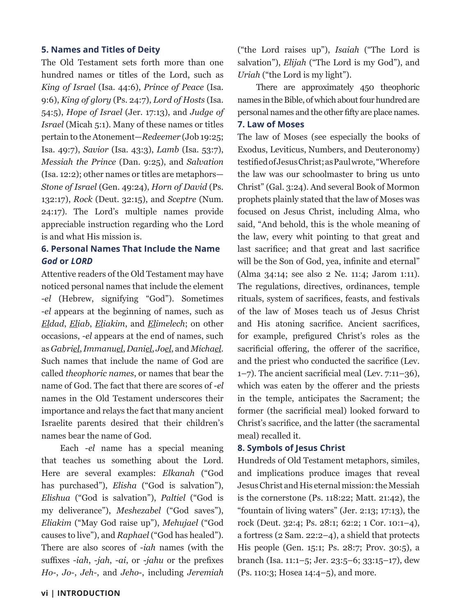## **5. Names and Titles of Deity**

The Old Testament sets forth more than one hundred names or titles of the Lord, such as *King of Israel* (Isa. 44:6), *Prince of Peace* (Isa. 9:6), *King of glory* (Ps. 24:7), *Lord of Hosts* (Isa. 54:5), *Hope of Israel* (Jer. 17:13), and *Judge of Israel* (Micah 5:1). Many of these names or titles pertain to the Atonement—*Redeemer* (Job 19:25; Isa. 49:7), *Savior* (Isa. 43:3), *Lamb* (Isa. 53:7), *Messiah the Prince* (Dan. 9:25), and *Salvation* (Isa. 12:2); other names or titles are metaphors— *Stone of Israel* (Gen. 49:24), *Horn of David* (Ps. 132:17), *Rock* (Deut. 32:15), and *Sceptre* (Num. 24:17). The Lord's multiple names provide appreciable instruction regarding who the Lord is and what His mission is.

## **6. Personal Names That Include the Name**  *God* **or** *LORD*

Attentive readers of the Old Testament may have noticed personal names that include the element -*el* (Hebrew, signifying "God"). Sometimes -*el* appears at the beginning of names, such as *Eldad*, *Eliab*, *Eliakim*, and *Elimelech*; on other occasions, -*el* appears at the end of names, such as *Gabriel*, *Immanuel*, *Daniel*, *Joel*, and *Michael*. Such names that include the name of God are called *theophoric names*, or names that bear the name of God. The fact that there are scores of -*el* names in the Old Testament underscores their importance and relays the fact that many ancient Israelite parents desired that their children's names bear the name of God.

Each -*el* name has a special meaning that teaches us something about the Lord. Here are several examples: *Elkanah* ("God has purchased"), *Elisha* ("God is salvation"), *Elishua* ("God is salvation"), *Paltiel* ("God is my deliverance"), *Meshezabel* ("God saves"), *Eliakim* ("May God raise up"), *Mehujael* ("God causes to live"), and *Raphael* ("God has healed"). There are also scores of -*iah* names (with the suffixes -*iah*, -*jah*, -*ai*, or -*jahu* or the prefixes *Ho*-, *Jo*-, *Jeh*-, and *Jeho*-, including *Jeremiah*

("the Lord raises up"), *Isaiah* ("The Lord is salvation"), *Elijah* ("The Lord is my God"), and *Uriah* ("the Lord is my light").

There are approximately 450 theophoric names in the Bible, of which about four hundred are personal names and the other fifty are place names.

### **7. Law of Moses**

The law of Moses (see especially the books of Exodus, Leviticus, Numbers, and Deuteronomy) testified of Jesus Christ; as Paul wrote, "Wherefore the law was our schoolmaster to bring us unto Christ" (Gal. 3:24). And several Book of Mormon prophets plainly stated that the law of Moses was focused on Jesus Christ, including Alma, who said, "And behold, this is the whole meaning of the law, every whit pointing to that great and last sacrifice; and that great and last sacrifice will be the Son of God, yea, infinite and eternal" (Alma 34:14; see also 2 Ne. 11:4; Jarom 1:11). The regulations, directives, ordinances, temple rituals, system of sacrifices, feasts, and festivals of the law of Moses teach us of Jesus Christ and His atoning sacrifice. Ancient sacrifices, for example, prefigured Christ's roles as the sacrificial offering, the offerer of the sacrifice, and the priest who conducted the sacrifice (Lev. 1–7). The ancient sacrificial meal (Lev. 7:11–36), which was eaten by the offerer and the priests in the temple, anticipates the Sacrament; the former (the sacrificial meal) looked forward to Christ's sacrifice, and the latter (the sacramental meal) recalled it.

#### **8. Symbols of Jesus Christ**

Hundreds of Old Testament metaphors, similes, and implications produce images that reveal Jesus Christ and His eternal mission: the Messiah is the cornerstone (Ps. 118:22; Matt. 21:42), the "fountain of living waters" (Jer. 2:13; 17:13), the rock (Deut. 32:4; Ps. 28:1; 62:2; 1 Cor. 10:1–4), a fortress (2 Sam. 22:2–4), a shield that protects His people (Gen. 15:1; Ps. 28:7; Prov. 30:5), a branch (Isa. 11:1–5; Jer. 23:5–6; 33:15–17), dew (Ps. 110:3; Hosea 14:4–5), and more.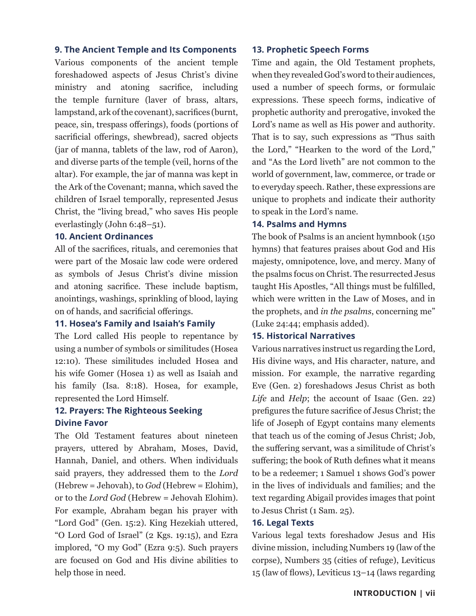## **9. The Ancient Temple and Its Components**

Various components of the ancient temple foreshadowed aspects of Jesus Christ's divine ministry and atoning sacrifice, including the temple furniture (laver of brass, altars, lampstand, ark of the covenant), sacrifices (burnt, peace, sin, trespass offerings), foods (portions of sacrificial offerings, shewbread), sacred objects (jar of manna, tablets of the law, rod of Aaron), and diverse parts of the temple (veil, horns of the altar). For example, the jar of manna was kept in the Ark of the Covenant; manna, which saved the children of Israel temporally, represented Jesus Christ, the "living bread," who saves His people everlastingly (John 6:48–51).

## **10. Ancient Ordinances**

All of the sacrifices, rituals, and ceremonies that were part of the Mosaic law code were ordered as symbols of Jesus Christ's divine mission and atoning sacrifice. These include baptism, anointings, washings, sprinkling of blood, laying on of hands, and sacrificial offerings.

### **11. Hosea's Family and Isaiah's Family**

The Lord called His people to repentance by using a number of symbols or similitudes (Hosea 12:10). These similitudes included Hosea and his wife Gomer (Hosea 1) as well as Isaiah and his family (Isa. 8:18). Hosea, for example, represented the Lord Himself.

## **12. Prayers: The Righteous Seeking Divine Favor**

The Old Testament features about nineteen prayers, uttered by Abraham, Moses, David, Hannah, Daniel, and others. When individuals said prayers, they addressed them to the *Lord* (Hebrew = Jehovah), to *God* (Hebrew = Elohim), or to the *Lord God* (Hebrew = Jehovah Elohim). For example, Abraham began his prayer with "Lord God" (Gen. 15:2). King Hezekiah uttered, "O Lord God of Israel" (2 Kgs. 19:15), and Ezra implored, "O my God" (Ezra 9:5). Such prayers are focused on God and His divine abilities to help those in need.

### **13. Prophetic Speech Forms**

Time and again, the Old Testament prophets, when they revealed God's word to their audiences, used a number of speech forms, or formulaic expressions. These speech forms, indicative of prophetic authority and prerogative, invoked the Lord's name as well as His power and authority. That is to say, such expressions as "Thus saith the Lord," "Hearken to the word of the Lord," and "As the Lord liveth" are not common to the world of government, law, commerce, or trade or to everyday speech. Rather, these expressions are unique to prophets and indicate their authority to speak in the Lord's name.

#### **14. Psalms and Hymns**

The book of Psalms is an ancient hymnbook (150 hymns) that features praises about God and His majesty, omnipotence, love, and mercy. Many of the psalms focus on Christ. The resurrected Jesus taught His Apostles, "All things must be fulfilled, which were written in the Law of Moses, and in the prophets, and *in the psalms*, concerning me" (Luke 24:44; emphasis added).

#### **15. Historical Narratives**

Various narratives instruct us regarding the Lord, His divine ways, and His character, nature, and mission. For example, the narrative regarding Eve (Gen. 2) foreshadows Jesus Christ as both *Life* and *Help*; the account of Isaac (Gen. 22) prefigures the future sacrifice of Jesus Christ; the life of Joseph of Egypt contains many elements that teach us of the coming of Jesus Christ; Job, the suffering servant, was a similitude of Christ's suffering; the book of Ruth defines what it means to be a redeemer; 1 Samuel 1 shows God's power in the lives of individuals and families; and the text regarding Abigail provides images that point to Jesus Christ (1 Sam. 25).

### **16. Legal Texts**

Various legal texts foreshadow Jesus and His divine mission, including Numbers 19 (law of the corpse), Numbers 35 (cities of refuge), Leviticus 15 (law of flows), Leviticus 13–14 (laws regarding